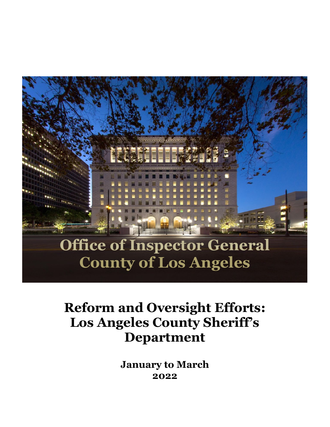

# **Reform and Oversight Efforts: Los Angeles County Sheriff's Department**

**January to March 2022**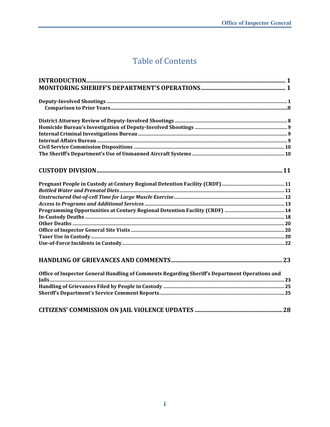# **Table of Contents**

| Office of Inspector General Handling of Comments Regarding Sheriff's Department Operations and |
|------------------------------------------------------------------------------------------------|
|                                                                                                |
|                                                                                                |
|                                                                                                |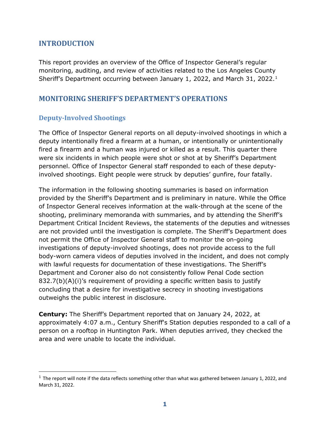# <span id="page-2-0"></span>**INTRODUCTION**

This report provides an overview of the Office of Inspector General's regular monitoring, auditing, and review of activities related to the Los Angeles County Sheriff's Department occurring between January 1, 2022, and March 31, 2022.<sup>1</sup>

# <span id="page-2-1"></span>**MONITORING SHERIFF'S DEPARTMENT'S OPERATIONS**

### <span id="page-2-2"></span>**Deputy-Involved Shootings**

The Office of Inspector General reports on all deputy-involved shootings in which a deputy intentionally fired a firearm at a human, or intentionally or unintentionally fired a firearm and a human was injured or killed as a result. This quarter there were six incidents in which people were shot or shot at by Sheriff's Department personnel. Office of Inspector General staff responded to each of these deputyinvolved shootings. Eight people were struck by deputies' gunfire, four fatally.

The information in the following shooting summaries is based on information provided by the Sheriff's Department and is preliminary in nature. While the Office of Inspector General receives information at the walk-through at the scene of the shooting, preliminary memoranda with summaries, and by attending the Sheriff's Department Critical Incident Reviews, the statements of the deputies and witnesses are not provided until the investigation is complete. The Sheriff's Department does not permit the Office of Inspector General staff to monitor the on-going investigations of deputy-involved shootings, does not provide access to the full body-worn camera videos of deputies involved in the incident, and does not comply with lawful requests for documentation of these investigations. The Sheriff's Department and Coroner also do not consistently follow Penal Code section 832.7(b)(A)(i)'s requirement of providing a specific written basis to justify concluding that a desire for investigative secrecy in shooting investigations outweighs the public interest in disclosure.

**Century:** The Sheriff's Department reported that on January 24, 2022, at approximately 4:07 a.m., Century Sheriff's Station deputies responded to a call of a person on a rooftop in Huntington Park. When deputies arrived, they checked the area and were unable to locate the individual.

<span id="page-2-3"></span> $1$  The report will note if the data reflects something other than what was gathered between January 1, 2022, and March 31, 2022.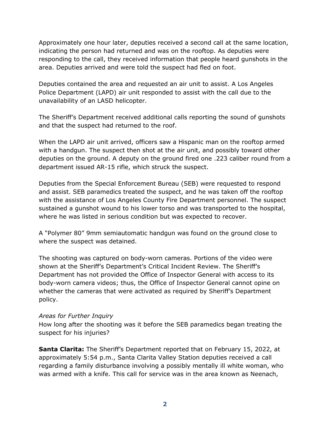Approximately one hour later, deputies received a second call at the same location, indicating the person had returned and was on the rooftop. As deputies were responding to the call, they received information that people heard gunshots in the area. Deputies arrived and were told the suspect had fled on foot.

Deputies contained the area and requested an air unit to assist. A Los Angeles Police Department (LAPD) air unit responded to assist with the call due to the unavailability of an LASD helicopter.

The Sheriff's Department received additional calls reporting the sound of gunshots and that the suspect had returned to the roof.

When the LAPD air unit arrived, officers saw a Hispanic man on the rooftop armed with a handgun. The suspect then shot at the air unit, and possibly toward other deputies on the ground. A deputy on the ground fired one .223 caliber round from a department issued AR-15 rifle, which struck the suspect.

Deputies from the Special Enforcement Bureau (SEB) were requested to respond and assist. SEB paramedics treated the suspect, and he was taken off the rooftop with the assistance of Los Angeles County Fire Department personnel. The suspect sustained a gunshot wound to his lower torso and was transported to the hospital, where he was listed in serious condition but was expected to recover.

A "Polymer 80" 9mm semiautomatic handgun was found on the ground close to where the suspect was detained.

The shooting was captured on body-worn cameras. Portions of the video were shown at the Sheriff's Department's Critical Incident Review. The Sheriff's Department has not provided the Office of Inspector General with access to its body-worn camera videos; thus, the Office of Inspector General cannot opine on whether the cameras that were activated as required by Sheriff's Department policy.

#### *Areas for Further Inquiry*

How long after the shooting was it before the SEB paramedics began treating the suspect for his injuries?

**Santa Clarita:** The Sheriff's Department reported that on February 15, 2022, at approximately 5:54 p.m., Santa Clarita Valley Station deputies received a call regarding a family disturbance involving a possibly mentally ill white woman, who was armed with a knife. This call for service was in the area known as Neenach,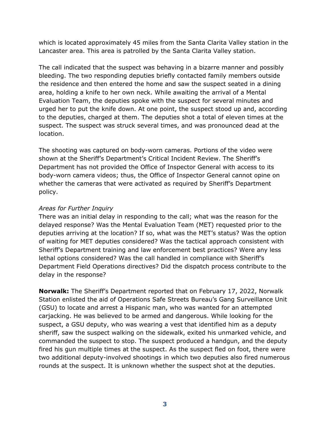which is located approximately 45 miles from the Santa Clarita Valley station in the Lancaster area. This area is patrolled by the Santa Clarita Valley station.

The call indicated that the suspect was behaving in a bizarre manner and possibly bleeding. The two responding deputies briefly contacted family members outside the residence and then entered the home and saw the suspect seated in a dining area, holding a knife to her own neck. While awaiting the arrival of a Mental Evaluation Team, the deputies spoke with the suspect for several minutes and urged her to put the knife down. At one point, the suspect stood up and, according to the deputies, charged at them. The deputies shot a total of eleven times at the suspect. The suspect was struck several times, and was pronounced dead at the location.

The shooting was captured on body-worn cameras. Portions of the video were shown at the Sheriff's Department's Critical Incident Review. The Sheriff's Department has not provided the Office of Inspector General with access to its body-worn camera videos; thus, the Office of Inspector General cannot opine on whether the cameras that were activated as required by Sheriff's Department policy.

#### *Areas for Further Inquiry*

There was an initial delay in responding to the call; what was the reason for the delayed response? Was the Mental Evaluation Team (MET) requested prior to the deputies arriving at the location? If so, what was the MET's status? Was the option of waiting for MET deputies considered? Was the tactical approach consistent with Sheriff's Department training and law enforcement best practices? Were any less lethal options considered? Was the call handled in compliance with Sheriff's Department Field Operations directives? Did the dispatch process contribute to the delay in the response?

**Norwalk:** The Sheriff's Department reported that on February 17, 2022, Norwalk Station enlisted the aid of Operations Safe Streets Bureau's Gang Surveillance Unit (GSU) to locate and arrest a Hispanic man, who was wanted for an attempted carjacking. He was believed to be armed and dangerous. While looking for the suspect, a GSU deputy, who was wearing a vest that identified him as a deputy sheriff, saw the suspect walking on the sidewalk, exited his unmarked vehicle, and commanded the suspect to stop. The suspect produced a handgun, and the deputy fired his gun multiple times at the suspect. As the suspect fled on foot, there were two additional deputy-involved shootings in which two deputies also fired numerous rounds at the suspect. It is unknown whether the suspect shot at the deputies.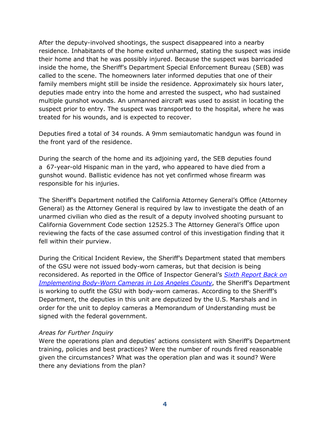After the deputy-involved shootings, the suspect disappeared into a nearby residence. Inhabitants of the home exited unharmed, stating the suspect was inside their home and that he was possibly injured. Because the suspect was barricaded inside the home, the Sheriff's Department Special Enforcement Bureau (SEB) was called to the scene. The homeowners later informed deputies that one of their family members might still be inside the residence. Approximately six hours later, deputies made entry into the home and arrested the suspect, who had sustained multiple gunshot wounds. An unmanned aircraft was used to assist in locating the suspect prior to entry. The suspect was transported to the hospital, where he was treated for his wounds, and is expected to recover.

Deputies fired a total of 34 rounds. A 9mm semiautomatic handgun was found in the front yard of the residence.

During the search of the home and its adjoining yard, the SEB deputies found a 67-year-old Hispanic man in the yard, who appeared to have died from a gunshot wound. Ballistic evidence has not yet confirmed whose firearm was responsible for his injuries.

The Sheriff's Department notified the California Attorney General's Office (Attorney General) as the Attorney General is required by law to investigate the death of an unarmed civilian who died as the result of a deputy involved shooting pursuant to California Government Code section 12525.3 The Attorney General's Office upon reviewing the facts of the case assumed control of this investigation finding that it fell within their purview.

During the Critical Incident Review, the Sheriff's Department stated that members of the GSU were not issued body-worn cameras, but that decision is being reconsidered. As reported in the Office of Inspector General's *[Sixth Report Back on](https://assets-us-01.kc-usercontent.com/0234f496-d2b7-00b6-17a4-b43e949b70a2/5728fb31-5bf1-47de-a6af-401b35377909/Sixth%20Report%20Back%20on%20Implementing%20Body%20Worn%20Cameras%20in%20Los%20Angeles%20County.pdf)  [Implementing Body-Worn Cameras in Los Angeles County](https://assets-us-01.kc-usercontent.com/0234f496-d2b7-00b6-17a4-b43e949b70a2/5728fb31-5bf1-47de-a6af-401b35377909/Sixth%20Report%20Back%20on%20Implementing%20Body%20Worn%20Cameras%20in%20Los%20Angeles%20County.pdf)*, the Sheriff's Department is working to outfit the GSU with body-worn cameras. According to the Sheriff's Department, the deputies in this unit are deputized by the U.S. Marshals and in order for the unit to deploy cameras a Memorandum of Understanding must be signed with the federal government.

#### *Areas for Further Inquiry*

Were the operations plan and deputies' actions consistent with Sheriff's Department training, policies and best practices? Were the number of rounds fired reasonable given the circumstances? What was the operation plan and was it sound? Were there any deviations from the plan?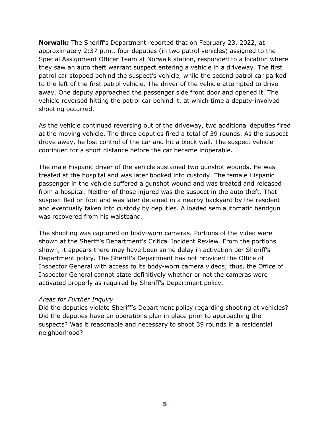**Norwalk:** The Sheriff's Department reported that on February 23, 2022, at approximately 2:37 p.m., four deputies (in two patrol vehicles) assigned to the Special Assignment Officer Team at Norwalk station, responded to a location where they saw an auto theft warrant suspect entering a vehicle in a driveway. The first patrol car stopped behind the suspect's vehicle, while the second patrol car parked to the left of the first patrol vehicle. The driver of the vehicle attempted to drive away. One deputy approached the passenger side front door and opened it. The vehicle reversed hitting the patrol car behind it, at which time a deputy-involved shooting occurred.

As the vehicle continued reversing out of the driveway, two additional deputies fired at the moving vehicle. The three deputies fired a total of 39 rounds. As the suspect drove away, he lost control of the car and hit a block wall. The suspect vehicle continued for a short distance before the car became inoperable.

The male Hispanic driver of the vehicle sustained two gunshot wounds. He was treated at the hospital and was later booked into custody. The female Hispanic passenger in the vehicle suffered a gunshot wound and was treated and released from a hospital. Neither of those injured was the suspect in the auto theft. That suspect fled on foot and was later detained in a nearby backyard by the resident and eventually taken into custody by deputies. A loaded semiautomatic handgun was recovered from his waistband.

The shooting was captured on body-worn cameras. Portions of the video were shown at the Sheriff's Department's Critical Incident Review. From the portions shown, it appears there may have been some delay in activation per Sheriff's Department policy. The Sheriff's Department has not provided the Office of Inspector General with access to its body-worn camera videos; thus, the Office of Inspector General cannot state definitively whether or not the cameras were activated properly as required by Sheriff's Department policy.

#### *Areas for Further Inquiry*

Did the deputies violate Sheriff's Department policy regarding shooting at vehicles? Did the deputies have an operations plan in place prior to approaching the suspects? Was it reasonable and necessary to shoot 39 rounds in a residential neighborhood?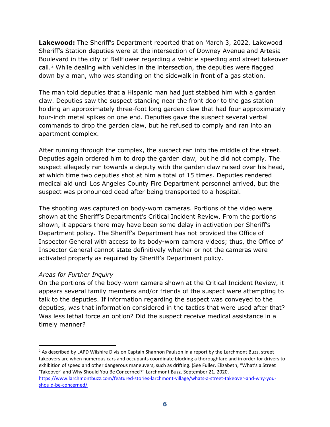**Lakewood:** The Sheriff's Department reported that on March 3, 2022, Lakewood Sheriff's Station deputies were at the intersection of Downey Avenue and Artesia Boulevard in the city of Bellflower regarding a vehicle speeding and street takeover call.<sup>[2](#page-7-0)</sup> While dealing with vehicles in the intersection, the deputies were flagged down by a man, who was standing on the sidewalk in front of a gas station.

The man told deputies that a Hispanic man had just stabbed him with a garden claw. Deputies saw the suspect standing near the front door to the gas station holding an approximately three-foot long garden claw that had four approximately four-inch metal spikes on one end. Deputies gave the suspect several verbal commands to drop the garden claw, but he refused to comply and ran into an apartment complex.

After running through the complex, the suspect ran into the middle of the street. Deputies again ordered him to drop the garden claw, but he did not comply. The suspect allegedly ran towards a deputy with the garden claw raised over his head, at which time two deputies shot at him a total of 15 times. Deputies rendered medical aid until Los Angeles County Fire Department personnel arrived, but the suspect was pronounced dead after being transported to a hospital.

The shooting was captured on body-worn cameras. Portions of the video were shown at the Sheriff's Department's Critical Incident Review. From the portions shown, it appears there may have been some delay in activation per Sheriff's Department policy. The Sheriff's Department has not provided the Office of Inspector General with access to its body-worn camera videos; thus, the Office of Inspector General cannot state definitively whether or not the cameras were activated properly as required by Sheriff's Department policy.

#### *Areas for Further Inquiry*

On the portions of the body-worn camera shown at the Critical Incident Review, it appears several family members and/or friends of the suspect were attempting to talk to the deputies. If information regarding the suspect was conveyed to the deputies, was that information considered in the tactics that were used after that? Was less lethal force an option? Did the suspect receive medical assistance in a timely manner?

<span id="page-7-0"></span><sup>&</sup>lt;sup>2</sup> As described by LAPD Wilshire Division Captain Shannon Paulson in a report by the Larchmont Buzz, street takeovers are when numerous cars and occupants coordinate blocking a thoroughfare and in order for drivers to exhibition of speed and other dangerous maneuvers, such as drifting. (See Fuller, Elizabeth, "What's a Street 'Takeover' and Why Should You Be Concerned?" Larchmont Buzz. September 21, 2020. [https://www.larchmontbuzz.com/featured-stories-larchmont-village/whats-a-street-takeover-and-why-you-](https://www.larchmontbuzz.com/featured-stories-larchmont-village/whats-a-street-takeover-and-why-you-should-be-concerned/)

[should-be-concerned/](https://www.larchmontbuzz.com/featured-stories-larchmont-village/whats-a-street-takeover-and-why-you-should-be-concerned/)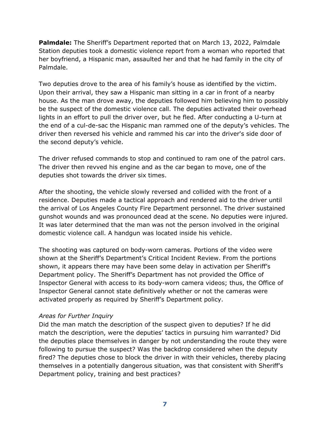**Palmdale:** The Sheriff's Department reported that on March 13, 2022, Palmdale Station deputies took a domestic violence report from a woman who reported that her boyfriend, a Hispanic man, assaulted her and that he had family in the city of Palmdale.

Two deputies drove to the area of his family's house as identified by the victim. Upon their arrival, they saw a Hispanic man sitting in a car in front of a nearby house. As the man drove away, the deputies followed him believing him to possibly be the suspect of the domestic violence call. The deputies activated their overhead lights in an effort to pull the driver over, but he fled. After conducting a U-turn at the end of a cul-de-sac the Hispanic man rammed one of the deputy's vehicles. The driver then reversed his vehicle and rammed his car into the driver's side door of the second deputy's vehicle.

The driver refused commands to stop and continued to ram one of the patrol cars. The driver then revved his engine and as the car began to move, one of the deputies shot towards the driver six times.

After the shooting, the vehicle slowly reversed and collided with the front of a residence. Deputies made a tactical approach and rendered aid to the driver until the arrival of Los Angeles County Fire Department personnel. The driver sustained gunshot wounds and was pronounced dead at the scene. No deputies were injured. It was later determined that the man was not the person involved in the original domestic violence call. A handgun was located inside his vehicle.

The shooting was captured on body-worn cameras. Portions of the video were shown at the Sheriff's Department's Critical Incident Review. From the portions shown, it appears there may have been some delay in activation per Sheriff's Department policy. The Sheriff's Department has not provided the Office of Inspector General with access to its body-worn camera videos; thus, the Office of Inspector General cannot state definitively whether or not the cameras were activated properly as required by Sheriff's Department policy.

#### *Areas for Further Inquiry*

Did the man match the description of the suspect given to deputies? If he did match the description, were the deputies' tactics in pursuing him warranted? Did the deputies place themselves in danger by not understanding the route they were following to pursue the suspect? Was the backdrop considered when the deputy fired? The deputies chose to block the driver in with their vehicles, thereby placing themselves in a potentially dangerous situation, was that consistent with Sheriff's Department policy, training and best practices?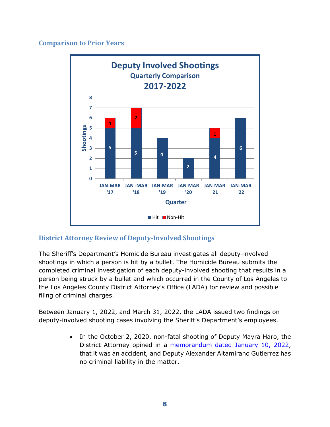#### <span id="page-9-0"></span>**Comparison to Prior Years**



# <span id="page-9-1"></span>**District Attorney Review of Deputy-Involved Shootings**

The Sheriff's Department's Homicide Bureau investigates all deputy-involved shootings in which a person is hit by a bullet. The Homicide Bureau submits the completed criminal investigation of each deputy-involved shooting that results in a person being struck by a bullet and which occurred in the County of Los Angeles to the Los Angeles County District Attorney's Office (LADA) for review and possible filing of criminal charges.

Between January 1, 2022, and March 31, 2022, the LADA issued two findings on deputy-involved shooting cases involving the Sheriff's Department's employees.

> • In the October 2, 2020, non-fatal shooting of Deputy Mayra Haro, the District Attorney opined in a [memorandum dated January 10, 2022,](https://da.lacounty.gov/sites/default/files/pdf/JSID-OIS-01-10-22-Haro.pdf) that it was an accident, and Deputy Alexander Altamirano Gutierrez has no criminal liability in the matter.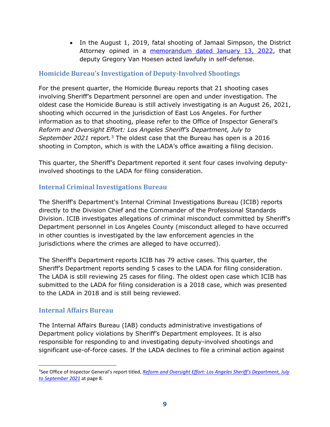• In the August 1, 2019, fatal shooting of Jamaal Simpson, the District Attorney opined in a [memorandum dated January](https://da.lacounty.gov/sites/default/files/pdf/JSID-OIS-01-13-22-Simpson.pdf) 13, 2022, that deputy Gregory Van Hoesen acted lawfully in self-defense.

### <span id="page-10-0"></span>**Homicide Bureau's Investigation of Deputy-Involved Shootings**

For the present quarter, the Homicide Bureau reports that 21 shooting cases involving Sheriff's Department personnel are open and under investigation. The oldest case the Homicide Bureau is still actively investigating is an August 26, 2021, shooting which occurred in the jurisdiction of East Los Angeles. For further information as to that shooting, please refer to the Office of Inspector General's *Reform and Oversight Effort: Los Angeles Sheriff's Department, July to September 2021* report*.*[3](#page-10-3) The oldest case that the Bureau has open is a 2016 shooting in Compton, which is with the LADA's office awaiting a filing decision.

This quarter, the Sheriff's Department reported it sent four cases involving deputyinvolved shootings to the LADA for filing consideration.

### <span id="page-10-1"></span>**Internal Criminal Investigations Bureau**

The Sheriff's Department's Internal Criminal Investigations Bureau (ICIB) reports directly to the Division Chief and the Commander of the Professional Standards Division. ICIB investigates allegations of criminal misconduct committed by Sheriff's Department personnel in Los Angeles County (misconduct alleged to have occurred in other counties is investigated by the law enforcement agencies in the jurisdictions where the crimes are alleged to have occurred).

The Sheriff's Department reports ICIB has 79 active cases. This quarter, the Sheriff's Department reports sending 5 cases to the LADA for filing consideration. The LADA is still reviewing 25 cases for filing. The oldest open case which ICIB has submitted to the LADA for filing consideration is a 2018 case, which was presented to the LADA in 2018 and is still being reviewed.

#### <span id="page-10-2"></span>**Internal Affairs Bureau**

The Internal Affairs Bureau (IAB) conducts administrative investigations of Department policy violations by Sheriff's Department employees. It is also responsible for responding to and investigating deputy-involved shootings and significant use-of-force cases. If the LADA declines to file a criminal action against

<span id="page-10-3"></span><sup>3</sup> See Office of Inspector General's report titled, *Reform and Oversight Effort: Los [Angeles Sheriff's Department, July](https://assets-us-01.kc-usercontent.com/0234f496-d2b7-00b6-17a4-b43e949b70a2/7334cd74-7248-432e-84f3-c59f56f000d6/Reform%20and%20Oversight%20Efforts%20-%20Los%20Angeles%20County%20Sheriffs%20Department%20-%20July%20to%20September%202021.pdf)  [to September 2021](https://assets-us-01.kc-usercontent.com/0234f496-d2b7-00b6-17a4-b43e949b70a2/7334cd74-7248-432e-84f3-c59f56f000d6/Reform%20and%20Oversight%20Efforts%20-%20Los%20Angeles%20County%20Sheriffs%20Department%20-%20July%20to%20September%202021.pdf)* at page 8*.*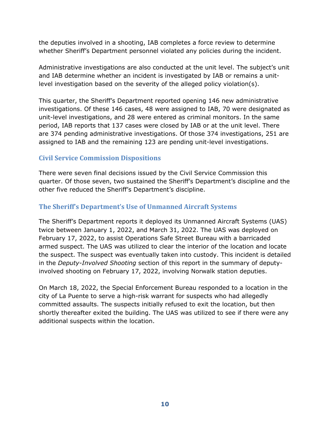the deputies involved in a shooting, IAB completes a force review to determine whether Sheriff's Department personnel violated any policies during the incident.

Administrative investigations are also conducted at the unit level. The subject's unit and IAB determine whether an incident is investigated by IAB or remains a unitlevel investigation based on the severity of the alleged policy violation(s).

This quarter, the Sheriff's Department reported opening 146 new administrative investigations. Of these 146 cases, 48 were assigned to IAB, 70 were designated as unit-level investigations, and 28 were entered as criminal monitors. In the same period, IAB reports that 137 cases were closed by IAB or at the unit level. There are 374 pending administrative investigations. Of those 374 investigations, 251 are assigned to IAB and the remaining 123 are pending unit-level investigations.

# <span id="page-11-0"></span>**Civil Service Commission Dispositions**

There were seven final decisions issued by the Civil Service Commission this quarter. Of those seven, two sustained the Sheriff's Department's discipline and the other five reduced the Sheriff's Department's discipline.

# <span id="page-11-1"></span>**The Sheriff's Department's Use of Unmanned Aircraft Systems**

The Sheriff's Department reports it deployed its Unmanned Aircraft Systems (UAS) twice between January 1, 2022, and March 31, 2022. The UAS was deployed on February 17, 2022, to assist Operations Safe Street Bureau with a barricaded armed suspect. The UAS was utilized to clear the interior of the location and locate the suspect. The suspect was eventually taken into custody. This incident is detailed in the *Deputy-Involved Shooting* section of this report in the summary of deputyinvolved shooting on February 17, 2022, involving Norwalk station deputies.

On March 18, 2022, the Special Enforcement Bureau responded to a location in the city of La Puente to serve a high-risk warrant for suspects who had allegedly committed assaults. The suspects initially refused to exit the location, but then shortly thereafter exited the building. The UAS was utilized to see if there were any additional suspects within the location.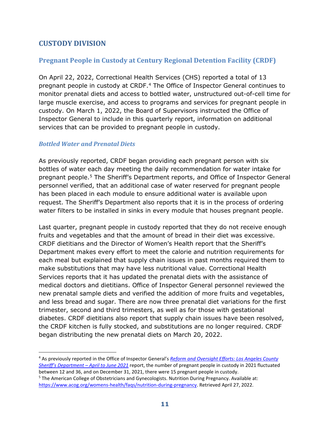# <span id="page-12-0"></span>**CUSTODY DIVISION**

# <span id="page-12-1"></span>**Pregnant People in Custody at Century Regional Detention Facility (CRDF)**

On April 22, 2022, Correctional Health Services (CHS) reported a total of 13 pregnant people in custody at CRDF.[4](#page-12-3) The Office of Inspector General continues to monitor prenatal diets and access to bottled water, unstructured out-of-cell time for large muscle exercise, and access to programs and services for pregnant people in custody. On March 1, 2022, the Board of Supervisors instructed the Office of Inspector General to include in this quarterly report, information on additional services that can be provided to pregnant people in custody.

#### <span id="page-12-2"></span>*Bottled Water and Prenatal Diets*

As previously reported, CRDF began providing each pregnant person with six bottles of water each day meeting the daily recommendation for water intake for pregnant people.[5](#page-12-4) The Sheriff's Department reports, and Office of Inspector General personnel verified, that an additional case of water reserved for pregnant people has been placed in each module to ensure additional water is available upon request. The Sheriff's Department also reports that it is in the process of ordering water filters to be installed in sinks in every module that houses pregnant people.

Last quarter, pregnant people in custody reported that they do not receive enough fruits and vegetables and that the amount of bread in their diet was excessive. CRDF dietitians and the Director of Women's Health report that the Sheriff's Department makes every effort to meet the calorie and nutrition requirements for each meal but explained that supply chain issues in past months required them to make substitutions that may have less nutritional value. Correctional Health Services reports that it has updated the prenatal diets with the assistance of medical doctors and dietitians. Office of Inspector General personnel reviewed the new prenatal sample diets and verified the addition of more fruits and vegetables, and less bread and sugar. There are now three prenatal diet variations for the first trimester, second and third trimesters, as well as for those with gestational diabetes. CRDF dietitians also report that supply chain issues have been resolved, the CRDF kitchen is fully stocked, and substitutions are no longer required. CRDF began distributing the new prenatal diets on March 20, 2022.

<span id="page-12-3"></span><sup>4</sup> As previously reported in the Office of Inspector General's *[Reform and Oversight Efforts: Los Angeles County](https://assets-us-01.kc-usercontent.com/0234f496-d2b7-00b6-17a4-b43e949b70a2/849f4ec3-53ee-4201-9835-cad5cbc69fa5/2ndQuarter2021ReformandOversight_Final.pdf)  [Sheriff's Department – April to June 2021](https://assets-us-01.kc-usercontent.com/0234f496-d2b7-00b6-17a4-b43e949b70a2/849f4ec3-53ee-4201-9835-cad5cbc69fa5/2ndQuarter2021ReformandOversight_Final.pdf)* report, the number of pregnant people in custody in 2021 fluctuated between 12 and 36, and on December 31, 2021, there were 15 pregnant people in custody.

<span id="page-12-4"></span><sup>5</sup> The American College of Obstetricians and Gynecologists. Nutrition During Pregnancy. Available at: [https://www.acog.org/womens-health/faqs/nutrition-during-pregnancy.](https://www.acog.org/womens-health/faqs/nutrition-during-pregnancy) Retrieved April 27, 2022.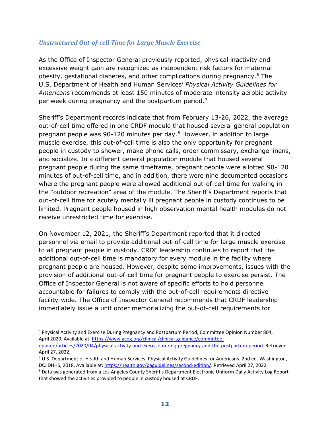#### <span id="page-13-0"></span>*Unstructured Out-of-cell Time for Large Muscle Exercise*

As the Office of Inspector General previously reported, physical inactivity and excessive weight gain are recognized as independent risk factors for maternal obesity, gestational diabetes, and other complications during pregnancy.[6](#page-13-1) The U.S. Department of Health and Human Services' *Physical Activity Guidelines for Americans* recommends at least 150 minutes of moderate intensity aerobic activity per week during pregnancy and the postpartum period.<sup>7</sup>

Sheriff's Department records indicate that from February 13-26, 2022, the average out-of-cell time offered in one CRDF module that housed several general population pregnant people was 90-120 minutes per day.[8](#page-13-3) However, in addition to large muscle exercise, this out-of-cell time is also the only opportunity for pregnant people in custody to shower, make phone calls, order commissary, exchange linens, and socialize. In a different general population module that housed several pregnant people during the same timeframe, pregnant people were allotted 90-120 minutes of out-of-cell time, and in addition, there were nine documented occasions where the pregnant people were allowed additional out-of-cell time for walking in the "outdoor recreation" area of the module. The Sheriff's Department reports that out-of-cell time for acutely mentally ill pregnant people in custody continues to be limited. Pregnant people housed in high observation mental health modules do not receive unrestricted time for exercise.

On November 12, 2021, the Sheriff's Department reported that it directed personnel via email to provide additional out-of-cell time for large muscle exercise to all pregnant people in custody. CRDF leadership continues to report that the additional out-of-cell time is mandatory for every module in the facility where pregnant people are housed. However, despite some improvements, issues with the provision of additional out-of-cell time for pregnant people to exercise persist. The Office of Inspector General is not aware of specific efforts to hold personnel accountable for failures to comply with the out-of-cell requirements directive facility-wide. The Office of Inspector General recommends that CRDF leadership immediately issue a unit order memorializing the out-of-cell requirements for

<span id="page-13-1"></span><sup>6</sup> Physical Activity and Exercise During Pregnancy and Postpartum Period, Committee Opinion Number 804, April 2020. Available at: [https://www.acog.org/clinical/clinical-guidance/committee](https://www.acog.org/clinical/clinical-guidance/committee-opinion/articles/2020/04/physical-activity-and-exercise-during-pregnancy-and-the-postpartum-period)[opinion/articles/2020/04/physical-activity-and-exercise-during-pregnancy-and-the-postpartum-period.](https://www.acog.org/clinical/clinical-guidance/committee-opinion/articles/2020/04/physical-activity-and-exercise-during-pregnancy-and-the-postpartum-period) Retrieved

April 27, 2022.

<span id="page-13-2"></span> $7$  U.S. Department of Health and Human Services. Physical Activity Guidelines for Americans. 2nd ed. Washington, DC: DHHS; 2018. Available at: [https://health.gov/paguidelines/second-edition/.](https://health.gov/paguidelines/second-edition/) Retrieved April 27, 2022. 8 Data was generated from a Los Angeles County Sheriff's Department Electronic Uniform Daily Activity Log Report

<span id="page-13-3"></span>that showed the activities provided to people in custody housed at CRDF.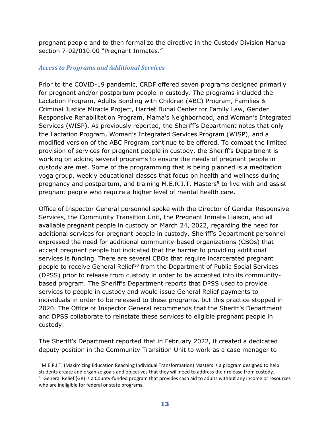pregnant people and to then formalize the directive in the Custody Division Manual section 7-02/010.00 "Pregnant Inmates."

#### <span id="page-14-0"></span>*Access to Programs and Additional Services*

Prior to the COVID-19 pandemic, CRDF offered seven programs designed primarily for pregnant and/or postpartum people in custody. The programs included the Lactation Program, Adults Bonding with Children (ABC) Program, Families & Criminal Justice Miracle Project, Harriet Buhai Center for Family Law, Gender Responsive Rehabilitation Program, Mama's Neighborhood, and Woman's Integrated Services (WISP). As previously reported, the Sheriff's Department notes that only the Lactation Program, Woman's Integrated Services Program (WISP), and a modified version of the ABC Program continue to be offered. To combat the limited provision of services for pregnant people in custody, the Sheriff's Department is working on adding several programs to ensure the needs of pregnant people in custody are met. Some of the programming that is being planned is a meditation yoga group, weekly educational classes that focus on health and wellness during pregnancy and postpartum, and training M.E.R.I.T. Masters<sup>[9](#page-14-1)</sup> to live with and assist pregnant people who require a higher level of mental health care.

Office of Inspector General personnel spoke with the Director of Gender Responsive Services, the Community Transition Unit, the Pregnant Inmate Liaison, and all available pregnant people in custody on March 24, 2022, regarding the need for additional services for pregnant people in custody. Sheriff's Department personnel expressed the need for additional community-based organizations (CBOs) that accept pregnant people but indicated that the barrier to providing additional services is funding. There are several CBOs that require incarcerated pregnant people to receive General Relief<sup>[10](#page-14-2)</sup> from the Department of Public Social Services (DPSS) prior to release from custody in order to be accepted into its communitybased program. The Sheriff's Department reports that DPSS used to provide services to people in custody and would issue General Relief payments to individuals in order to be released to these programs, but this practice stopped in 2020. The Office of Inspector General recommends that the Sheriff's Department and DPSS collaborate to reinstate these services to eligible pregnant people in custody.

The Sheriff's Department reported that in February 2022, it created a dedicated deputy position in the Community Transition Unit to work as a case manager to

<span id="page-14-2"></span><span id="page-14-1"></span><sup>9</sup> M.E.R.I.T. (Maximizing Education Reaching Individual Transformation) Masters is a program designed to help students create and organize goals and objectives that they will need to address their release from custody.  $10$  General Relief (GR) is a County-funded program that provides cash aid to adults without any income or resources who are ineligible for federal or state programs.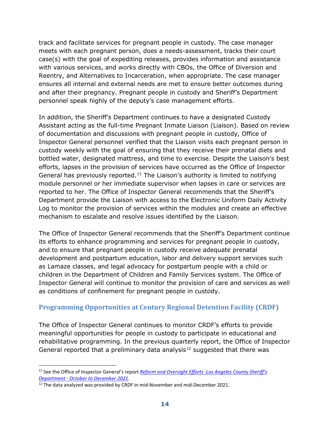track and facilitate services for pregnant people in custody. The case manager meets with each pregnant person, does a needs-assessment, tracks their court case(s) with the goal of expediting releases, provides information and assistance with various services, and works directly with CBOs, the Office of Diversion and Reentry, and Alternatives to Incarceration, when appropriate. The case manager ensures all internal and external needs are met to ensure better outcomes during and after their pregnancy. Pregnant people in custody and Sheriff's Department personnel speak highly of the deputy's case management efforts.

In addition, the Sheriff's Department continues to have a designated Custody Assistant acting as the full-time Pregnant Inmate Liaison (Liaison). Based on review of documentation and discussions with pregnant people in custody, Office of Inspector General personnel verified that the Liaison visits each pregnant person in custody weekly with the goal of ensuring that they receive their prenatal diets and bottled water, designated mattress, and time to exercise. Despite the Liaison's best efforts, lapses in the provision of services have occurred as the Office of Inspector General has previously reported.<sup>[11](#page-15-1)</sup> The Liaison's authority is limited to notifying module personnel or her immediate supervisor when lapses in care or services are reported to her. The Office of Inspector General recommends that the Sheriff's Department provide the Liaison with access to the Electronic Uniform Daily Activity Log to monitor the provision of services within the modules and create an effective mechanism to escalate and resolve issues identified by the Liaison.

The Office of Inspector General recommends that the Sheriff's Department continue its efforts to enhance programming and services for pregnant people in custody, and to ensure that pregnant people in custody receive adequate prenatal development and postpartum education, labor and delivery support services such as Lamaze classes, and legal advocacy for postpartum people with a child or children in the Department of Children and Family Services system. The Office of Inspector General will continue to monitor the provision of care and services as well as conditions of confinement for pregnant people in custody.

# <span id="page-15-0"></span>**Programming Opportunities at Century Regional Detention Facility (CRDF)**

The Office of Inspector General continues to monitor CRDF's efforts to provide meaningful opportunities for people in custody to participate in educational and rehabilitative programming. In the previous quarterly report, the Office of Inspector General reported that a preliminary data analysis<sup>[12](#page-15-2)</sup> suggested that there was

<span id="page-15-1"></span><sup>11</sup> See the Office of Inspector General's report *[Reform and Oversight Efforts -Los Angeles County Sheriff's](https://assets-us-01.kc-usercontent.com/0234f496-d2b7-00b6-17a4-b43e949b70a2/736916ea-786c-4bfd-b073-b7de182ebf6c/Reform%20and%20Oversight%20Efforts%20-Los%20Angeles%20County%20Sheriffs%20Department%20-%20October%20to%20December%202021.pdf) Department - October to December 2021*[.](https://assets-us-01.kc-usercontent.com/0234f496-d2b7-00b6-17a4-b43e949b70a2/736916ea-786c-4bfd-b073-b7de182ebf6c/Reform%20and%20Oversight%20Efforts%20-Los%20Angeles%20County%20Sheriffs%20Department%20-%20October%20to%20December%202021.pdf)<br><sup>12</sup> The data analyzed was provided by CRDF in mid-November and mid-December 2021.

<span id="page-15-2"></span>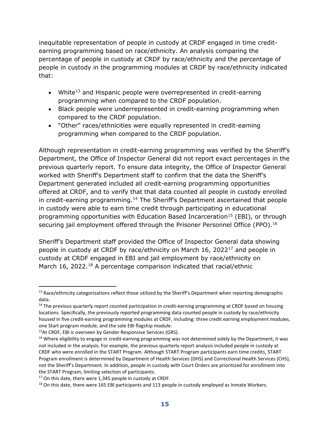inequitable representation of people in custody at CRDF engaged in time creditearning programming based on race/ethnicity. An analysis comparing the percentage of people in custody at CRDF by race/ethnicity and the percentage of people in custody in the programming modules at CRDF by race/ethnicity indicated that:

- White<sup>[13](#page-16-0)</sup> and Hispanic people were overrepresented in credit-earning programming when compared to the CRDF population.
- Black people were underrepresented in credit-earning programming when compared to the CRDF population.
- "Other" races/ethnicities were equally represented in credit-earning programming when compared to the CRDF population.

Although representation in credit-earning programming was verified by the Sheriff's Department, the Office of Inspector General did not report exact percentages in the previous quarterly report. To ensure data integrity, the Office of Inspector General worked with Sheriff's Department staff to confirm that the data the Sheriff's Department generated included all credit-earning programming opportunities offered at CRDF, and to verify that that data counted all people in custody enrolled in credit-earning programming.<sup>[14](#page-16-1)</sup> The Sheriff's Department ascertained that people in custody were able to earn time credit through participating in educational programming opportunities with Education Based Incarceration<sup>[15](#page-16-2)</sup> (EBI), or through securing jail employment offered through the Prisoner Personnel Office (PPO).<sup>[16](#page-16-3)</sup>

Sheriff's Department staff provided the Office of Inspector General data showing people in custody at CRDF by race/ethnicity on March 16, 2022[17](#page-16-4) and people in custody at CRDF engaged in EBI and jail employment by race/ethnicity on March 16, 2022.<sup>18</sup> A percentage comparison indicated that racial/ethnic

<span id="page-16-0"></span><sup>&</sup>lt;sup>13</sup> Race/ethnicity categorizations reflect those utilized by the Sheriff's Department when reporting demographic data.

<span id="page-16-1"></span><sup>&</sup>lt;sup>14</sup> The previous quarterly report counted participation in credit-earning programming at CRDF based on housing locations. Specifically, the previously reported programming data counted people in custody by race/ethnicity housed in five credit-earning programming modules at CRDF, including: three credit earning employment modules, one Start program module, and the sole EBI flagship module.

<span id="page-16-3"></span><span id="page-16-2"></span><sup>&</sup>lt;sup>15</sup>At CRDF, EBI is overseen by Gender Responsive Services (GRS).<br><sup>16</sup> Where eligibility to engage in credit-earning programming was not determined solely by the Department, it was not included in the analysis. For example, the previous quarterly report analysis included people in custody at CRDF who were enrolled in the START Program. Although START Program participants earn time credits, START Program enrollment is determined by Department of Health Services (DHS) and Correctional Health Services (CHS), not the Sheriff's Department. In addition, people in custody with Court Orders are prioritized for enrollment into the START Program, limiting selection of participants.

<span id="page-16-5"></span><span id="page-16-4"></span><sup>&</sup>lt;sup>17</sup> On this date, there were 1,345 people in custody at CRDF.<br><sup>18</sup> On this date, there were 165 EBI participants and 113 people in custody employed as Inmate Workers.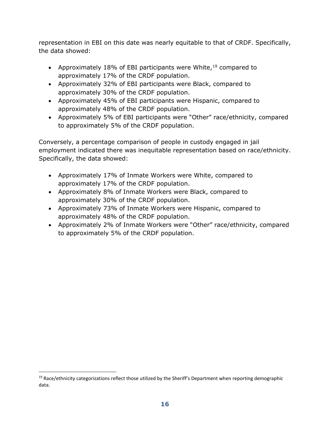representation in EBI on this date was nearly equitable to that of CRDF. Specifically, the data showed:

- Approximately 18% of EBI participants were White,  $19$  compared to approximately 17% of the CRDF population.
- Approximately 32% of EBI participants were Black, compared to approximately 30% of the CRDF population.
- Approximately 45% of EBI participants were Hispanic, compared to approximately 48% of the CRDF population.
- Approximately 5% of EBI participants were "Other" race/ethnicity, compared to approximately 5% of the CRDF population.

Conversely, a percentage comparison of people in custody engaged in jail employment indicated there was inequitable representation based on race/ethnicity. Specifically, the data showed:

- Approximately 17% of Inmate Workers were White, compared to approximately 17% of the CRDF population.
- Approximately 8% of Inmate Workers were Black, compared to approximately 30% of the CRDF population.
- Approximately 73% of Inmate Workers were Hispanic, compared to approximately 48% of the CRDF population.
- Approximately 2% of Inmate Workers were "Other" race/ethnicity, compared to approximately 5% of the CRDF population.

<span id="page-17-0"></span><sup>&</sup>lt;sup>19</sup> Race/ethnicity categorizations reflect those utilized by the Sheriff's Department when reporting demographic data.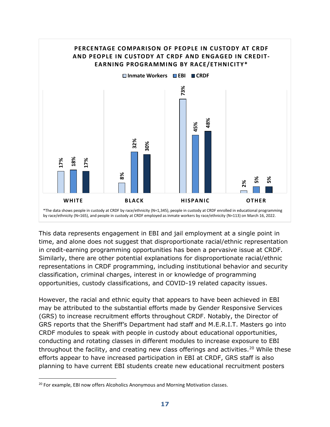

This data represents engagement in EBI and jail employment at a single point in time, and alone does not suggest that disproportionate racial/ethnic representation in credit-earning programming opportunities has been a pervasive issue at CRDF. Similarly, there are other potential explanations for disproportionate racial/ethnic representations in CRDF programming, including institutional behavior and security classification, criminal charges, interest in or knowledge of programming opportunities, custody classifications, and COVID-19 related capacity issues.

However, the racial and ethnic equity that appears to have been achieved in EBI may be attributed to the substantial efforts made by Gender Responsive Services (GRS) to increase recruitment efforts throughout CRDF. Notably, the Director of GRS reports that the Sheriff's Department had staff and M.E.R.I.T. Masters go into CRDF modules to speak with people in custody about educational opportunities, conducting and rotating classes in different modules to increase exposure to EBI throughout the facility, and creating new class offerings and activities.<sup>[20](#page-18-0)</sup> While these efforts appear to have increased participation in EBI at CRDF, GRS staff is also planning to have current EBI students create new educational recruitment posters

<span id="page-18-0"></span>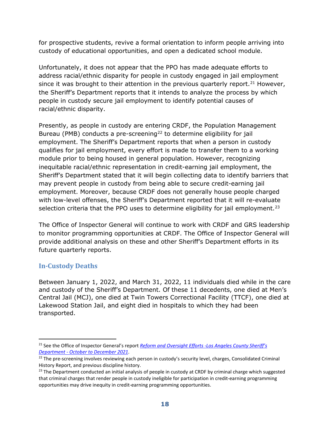for prospective students, revive a formal orientation to inform people arriving into custody of educational opportunities, and open a dedicated school module.

Unfortunately, it does not appear that the PPO has made adequate efforts to address racial/ethnic disparity for people in custody engaged in jail employment since it was brought to their attention in the previous quarterly report.<sup>[21](#page-19-1)</sup> However, the Sheriff's Department reports that it intends to analyze the process by which people in custody secure jail employment to identify potential causes of racial/ethnic disparity.

Presently, as people in custody are entering CRDF, the Population Management Bureau (PMB) conducts a pre-screening<sup>22</sup> to determine eligibility for jail employment. The Sheriff's Department reports that when a person in custody qualifies for jail employment, every effort is made to transfer them to a working module prior to being housed in general population. However, recognizing inequitable racial/ethnic representation in credit-earning jail employment, the Sheriff's Department stated that it will begin collecting data to identify barriers that may prevent people in custody from being able to secure credit-earning jail employment. Moreover, because CRDF does not generally house people charged with low-level offenses, the Sheriff's Department reported that it will re-evaluate selection criteria that the PPO uses to determine eligibility for jail employment.<sup>[23](#page-19-3)</sup>

The Office of Inspector General will continue to work with CRDF and GRS leadership to monitor programming opportunities at CRDF. The Office of Inspector General will provide additional analysis on these and other Sheriff's Department efforts in its future quarterly reports.

# <span id="page-19-0"></span>**In-Custody Deaths**

Between January 1, 2022, and March 31, 2022, 11 individuals died while in the care and custody of the Sheriff's Department. Of these 11 decedents, one died at Men's Central Jail (MCJ), one died at Twin Towers Correctional Facility (TTCF), one died at Lakewood Station Jail, and eight died in hospitals to which they had been transported.

<span id="page-19-1"></span><sup>21</sup> See the Office of Inspector General's report *[Reform and Oversight Efforts -Los Angeles County Sheriff's](https://assets-us-01.kc-usercontent.com/0234f496-d2b7-00b6-17a4-b43e949b70a2/736916ea-786c-4bfd-b073-b7de182ebf6c/Reform%20and%20Oversight%20Efforts%20-Los%20Angeles%20County%20Sheriffs%20Department%20-%20October%20to%20December%202021.pdf) Department - October to December 2021*[.](https://assets-us-01.kc-usercontent.com/0234f496-d2b7-00b6-17a4-b43e949b70a2/736916ea-786c-4bfd-b073-b7de182ebf6c/Reform%20and%20Oversight%20Efforts%20-Los%20Angeles%20County%20Sheriffs%20Department%20-%20October%20to%20December%202021.pdf) 22 The pre-screening involves reviewing each person in custody's security level, charges, Consolidated Criminal

<span id="page-19-2"></span>History Report, and previous discipline history.

<span id="page-19-3"></span> $^{23}$  The Department conducted an initial analysis of people in custody at CRDF by criminal charge which suggested that criminal charges that render people in custody ineligible for participation in credit-earning programming opportunities may drive inequity in credit-earning programming opportunities.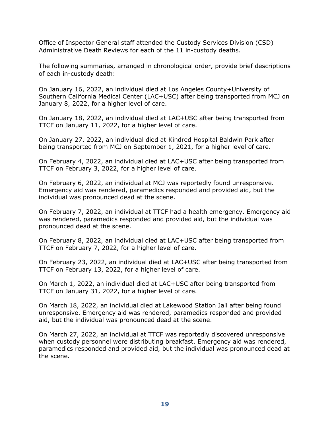Office of Inspector General staff attended the Custody Services Division (CSD) Administrative Death Reviews for each of the 11 in-custody deaths.

The following summaries, arranged in chronological order, provide brief descriptions of each in-custody death:

On January 16, 2022, an individual died at Los Angeles County+University of Southern California Medical Center (LAC+USC) after being transported from MCJ on January 8, 2022, for a higher level of care.

On January 18, 2022, an individual died at LAC+USC after being transported from TTCF on January 11, 2022, for a higher level of care.

On January 27, 2022, an individual died at Kindred Hospital Baldwin Park after being transported from MCJ on September 1, 2021, for a higher level of care.

On February 4, 2022, an individual died at LAC+USC after being transported from TTCF on February 3, 2022, for a higher level of care.

On February 6, 2022, an individual at MCJ was reportedly found unresponsive. Emergency aid was rendered, paramedics responded and provided aid, but the individual was pronounced dead at the scene.

On February 7, 2022, an individual at TTCF had a health emergency. Emergency aid was rendered, paramedics responded and provided aid, but the individual was pronounced dead at the scene.

On February 8, 2022, an individual died at LAC+USC after being transported from TTCF on February 7, 2022, for a higher level of care.

On February 23, 2022, an individual died at LAC+USC after being transported from TTCF on February 13, 2022, for a higher level of care.

On March 1, 2022, an individual died at LAC+USC after being transported from TTCF on January 31, 2022, for a higher level of care.

On March 18, 2022, an individual died at Lakewood Station Jail after being found unresponsive. Emergency aid was rendered, paramedics responded and provided aid, but the individual was pronounced dead at the scene.

On March 27, 2022, an individual at TTCF was reportedly discovered unresponsive when custody personnel were distributing breakfast. Emergency aid was rendered, paramedics responded and provided aid, but the individual was pronounced dead at the scene.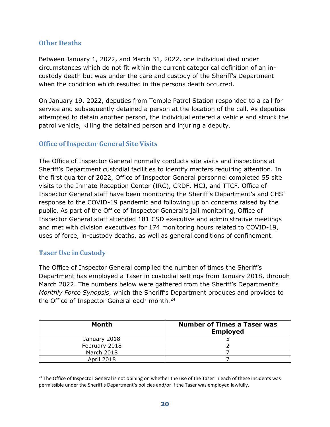#### <span id="page-21-0"></span>**Other Deaths**

Between January 1, 2022, and March 31, 2022, one individual died under circumstances which do not fit within the current categorical definition of an incustody death but was under the care and custody of the Sheriff's Department when the condition which resulted in the persons death occurred.

On January 19, 2022, deputies from Temple Patrol Station responded to a call for service and subsequently detained a person at the location of the call. As deputies attempted to detain another person, the individual entered a vehicle and struck the patrol vehicle, killing the detained person and injuring a deputy.

#### <span id="page-21-1"></span>**Office of Inspector General Site Visits**

The Office of Inspector General normally conducts site visits and inspections at Sheriff's Department custodial facilities to identify matters requiring attention. In the first quarter of 2022, Office of Inspector General personnel completed 55 site visits to the Inmate Reception Center (IRC), CRDF, MCJ, and TTCF. Office of Inspector General staff have been monitoring the Sheriff's Department's and CHS' response to the COVID-19 pandemic and following up on concerns raised by the public. As part of the Office of Inspector General's jail monitoring, Office of Inspector General staff attended 181 CSD executive and administrative meetings and met with division executives for 174 monitoring hours related to COVID-19, uses of force, in-custody deaths, as well as general conditions of confinement.

#### <span id="page-21-2"></span>**Taser Use in Custody**

The Office of Inspector General compiled the number of times the Sheriff's Department has employed a Taser in custodial settings from January 2018, through March 2022. The numbers below were gathered from the Sheriff's Department's *Monthly Force Synopsis*, which the Sheriff's Department produces and provides to the Office of Inspector General each month.<sup>[24](#page-21-3)</sup>

| <b>Month</b>  | <b>Number of Times a Taser was</b><br><b>Employed</b> |
|---------------|-------------------------------------------------------|
| January 2018  |                                                       |
| February 2018 |                                                       |
| March 2018    |                                                       |
| April 2018    |                                                       |

<span id="page-21-3"></span><sup>&</sup>lt;sup>24</sup> The Office of Inspector General is not opining on whether the use of the Taser in each of these incidents was permissible under the Sheriff's Department's policies and/or if the Taser was employed lawfully.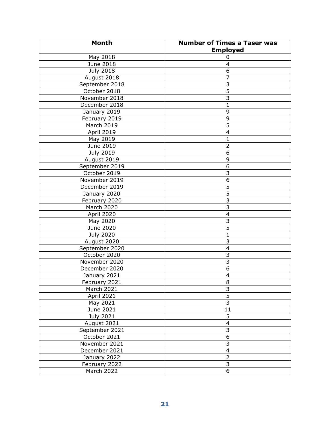| <b>Month</b>     | <b>Number of Times a Taser was</b> |
|------------------|------------------------------------|
|                  | <b>Employed</b>                    |
| May 2018         | 0                                  |
| June 2018        | 4                                  |
| <b>July 2018</b> | $\overline{6}$                     |
| August 2018      | 7                                  |
| September 2018   | $\overline{3}$                     |
| October 2018     | $\overline{5}$                     |
| November 2018    | $\overline{3}$                     |
| December 2018    | $\mathbf{1}$                       |
| January 2019     | 9                                  |
| February 2019    | 9                                  |
| March 2019       | $\overline{5}$                     |
| April 2019       | 4                                  |
| May 2019         | $\mathbf 1$                        |
| June 2019        | $\overline{2}$                     |
| <b>July 2019</b> | 6                                  |
| August 2019      | 9                                  |
| September 2019   | 6                                  |
| October 2019     | 3                                  |
| November 2019    | 6                                  |
| December 2019    | 5                                  |
| January 2020     | 5                                  |
| February 2020    | $\overline{3}$                     |
| March 2020       | $\overline{3}$                     |
| April 2020       | $\overline{4}$                     |
| May 2020         | $\overline{3}$                     |
| June 2020        | $\overline{5}$                     |
| <b>July 2020</b> | $\mathbf{1}$                       |
| August 2020      | 3                                  |
| September 2020   | 4                                  |
| October 2020     | 3                                  |
| November 2020    | $\overline{3}$                     |
| December 2020    | $\overline{6}$                     |
| January 2021     | $\overline{4}$                     |
| February 2021    | 8                                  |
| March 2021       | $\overline{3}$                     |
| April 2021       | $\overline{5}$                     |
| May 2021         | $\overline{3}$                     |
| June 2021        | 11                                 |
| July 2021        | 5                                  |
| August 2021      | $\overline{4}$                     |
| September 2021   | $\frac{3}{6}$                      |
| October 2021     |                                    |
| November 2021    | $\overline{3}$                     |
| December 2021    | $\overline{\mathbf{4}}$            |
| January 2022     | $\overline{2}$                     |
| February 2022    | $\overline{\mathbf{3}}$            |
| March 2022       | 6                                  |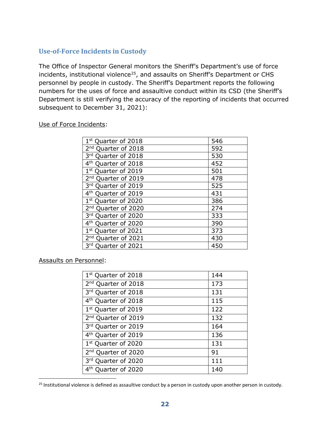# <span id="page-23-0"></span>**Use-of-Force Incidents in Custody**

The Office of Inspector General monitors the Sheriff's Department's use of force incidents, institutional violence<sup>[25](#page-23-1)</sup>, and assaults on Sheriff's Department or CHS personnel by people in custody. The Sheriff's Department reports the following numbers for the uses of force and assaultive conduct within its CSD (the Sheriff's Department is still verifying the accuracy of the reporting of incidents that occurred subsequent to December 31, 2021):

| 1st Quarter of 2018                | 546 |
|------------------------------------|-----|
| 2 <sup>nd</sup> Quarter of 2018    | 592 |
| 3rd Quarter of 2018                | 530 |
| 4 <sup>th</sup> Quarter of 2018    | 452 |
| 1st Quarter of 2019                | 501 |
| 2 <sup>nd</sup> Quarter of 2019    | 478 |
| 3rd Quarter of 2019                | 525 |
| 4 <sup>th</sup> Quarter of 2019    | 431 |
| 1st Quarter of 2020                | 386 |
| 2 <sup>nd</sup> Quarter of 2020    | 274 |
| 3rd Quarter of 2020                | 333 |
| 4 <sup>th</sup><br>Quarter of 2020 | 390 |
| 1st Quarter of 2021                | 373 |
| 2 <sup>nd</sup> Quarter of 2021    | 430 |
| 3rd Quarter of 2021                | 450 |

Use of Force Incidents:

Assaults on Personnel:

| 1 <sup>st</sup> Quarter of 2018 | 144 |
|---------------------------------|-----|
| 2 <sup>nd</sup> Quarter of 2018 | 173 |
| 3rd Quarter of 2018             | 131 |
| 4 <sup>th</sup> Quarter of 2018 | 115 |
| 1st Quarter of 2019             | 122 |
| 2 <sup>nd</sup> Quarter of 2019 | 132 |
| 3rd Quarter or 2019             | 164 |
| 4 <sup>th</sup> Quarter of 2019 | 136 |
| 1st Quarter of 2020             | 131 |
| 2 <sup>nd</sup> Quarter of 2020 | 91  |
| 3rd Quarter of 2020             | 111 |
| 4 <sup>th</sup> Quarter of 2020 | 140 |
|                                 |     |

<span id="page-23-1"></span> $25$  Institutional violence is defined as assaultive conduct by a person in custody upon another person in custody.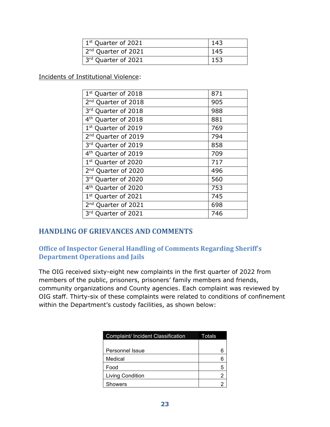| 1 <sup>st</sup> Quarter of 2021 | 143 |
|---------------------------------|-----|
| 2 <sup>nd</sup> Quarter of 2021 | 145 |
| 3rd Quarter of 2021             | 153 |

Incidents of Institutional Violence:

| 1 <sup>st</sup> Quarter of 2018 | 871 |
|---------------------------------|-----|
| 2 <sup>nd</sup> Quarter of 2018 | 905 |
| 3rd Quarter of 2018             | 988 |
| 4 <sup>th</sup> Quarter of 2018 | 881 |
| 1 <sup>st</sup> Quarter of 2019 | 769 |
| 2 <sup>nd</sup> Quarter of 2019 | 794 |
| 3rd Quarter of 2019             | 858 |
| 4 <sup>th</sup> Quarter of 2019 | 709 |
| 1 <sup>st</sup> Quarter of 2020 | 717 |
| 2 <sup>nd</sup> Quarter of 2020 | 496 |
| 3rd Quarter of 2020             | 560 |
| 4 <sup>th</sup> Quarter of 2020 | 753 |
| 1st Quarter of 2021             | 745 |
| 2 <sup>nd</sup> Quarter of 2021 | 698 |
| 3rd Quarter of 2021             | 746 |

# <span id="page-24-0"></span>**HANDLING OF GRIEVANCES AND COMMENTS**

### <span id="page-24-1"></span>**Office of Inspector General Handling of Comments Regarding Sheriff's Department Operations and Jails**

The OIG received sixty-eight new complaints in the first quarter of 2022 from members of the public, prisoners, prisoners' family members and friends, community organizations and County agencies. Each complaint was reviewed by OIG staff. Thirty-six of these complaints were related to conditions of confinement within the Department's custody facilities, as shown below:

| <b>Complaint/ Incident Classification</b> | Totals |
|-------------------------------------------|--------|
|                                           |        |
| Personnel Issue                           |        |
| Medical                                   |        |
| Food                                      |        |
| <b>Living Condition</b>                   |        |
| Showers                                   |        |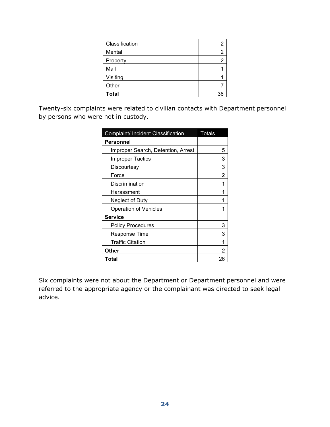| Classification |  |
|----------------|--|
| Mental         |  |
| Property       |  |
| Mail           |  |
| Visiting       |  |
| Other          |  |
| <b>Total</b>   |  |

Twenty-six complaints were related to civilian contacts with Department personnel by persons who were not in custody.

| Complaint/ Incident Classification | Totals |
|------------------------------------|--------|
| Personnel                          |        |
| Improper Search, Detention, Arrest | 5      |
| <b>Improper Tactics</b>            | 3      |
| Discourtesy                        | 3      |
| Force                              | 2      |
| Discrimination                     |        |
| Harassment                         |        |
| Neglect of Duty                    |        |
| <b>Operation of Vehicles</b>       |        |
| <b>Service</b>                     |        |
| <b>Policy Procedures</b>           | 3      |
| Response Time                      | 3      |
| Traffic Citation                   |        |
| Other                              | 2      |
| Total                              | 26     |

Six complaints were not about the Department or Department personnel and were referred to the appropriate agency or the complainant was directed to seek legal advice.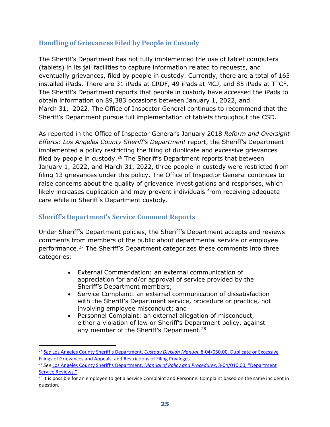# <span id="page-26-0"></span>**Handling of Grievances Filed by People in Custody**

The Sheriff's Department has not fully implemented the use of tablet computers (tablets) in its jail facilities to capture information related to requests, and eventually grievances, filed by people in custody. Currently, there are a total of 165 installed iPads. There are 31 iPads at CRDF, 49 iPads at MCJ, and 85 iPads at TTCF. The Sheriff's Department reports that people in custody have accessed the iPads to obtain information on 89,383 occasions between January 1, 2022, and March 31, 2022. The Office of Inspector General continues to recommend that the Sheriff's Department pursue full implementation of tablets throughout the CSD.

As reported in the Office of Inspector General's January 2018 *Reform and Oversight Efforts: Los Angeles County Sheriff's Department* report, the Sheriff's Department implemented a policy restricting the filing of duplicate and excessive grievances filed by people in custody.<sup>[26](#page-26-2)</sup> The Sheriff's Department reports that between January 1, 2022, and March 31, 2022, three people in custody were restricted from filing 13 grievances under this policy. The Office of Inspector General continues to raise concerns about the quality of grievance investigations and responses, which likely increases duplication and may prevent individuals from receiving adequate care while in Sheriff's Department custody.

# <span id="page-26-1"></span>**Sheriff's Department's Service Comment Reports**

Under Sheriff's Department policies, the Sheriff's Department accepts and reviews comments from members of the public about departmental service or employee performance.<sup>[27](#page-26-3)</sup> The Sheriff's Department categorizes these comments into three categories:

- External Commendation: an external communication of appreciation for and/or approval of service provided by the Sheriff's Department members;
- Service Complaint: an external communication of dissatisfaction with the Sheriff's Department service, procedure or practice, not involving employee misconduct; and
- Personnel Complaint: an external allegation of misconduct, either a violation of law or Sheriff's Department policy, against any member of the Sheriff's Department.<sup>[28](#page-26-4)</sup>

<span id="page-26-2"></span><sup>26</sup> *See* [Los Angeles County Sheriff's Department,](http://pars.lasd.org/Viewer/Manuals/14249/Content/13670) *Custody Division Manual*, 8-04/050.00, Duplicate or Excessive [Filings of Grievances and Appeals, and Restrictions of Filing Privileges.](http://pars.lasd.org/Viewer/Manuals/14249/Content/13670)

<span id="page-26-3"></span><sup>27</sup> *See* [Los Angeles County Sheriff's Department,](http://pars.lasd.org/Viewer/Manuals/10008/Content/10837) *Manual of Policy and Procedures*, 3-04/010.00, "Department [Service Reviews."](http://pars.lasd.org/Viewer/Manuals/10008/Content/10837)

<span id="page-26-4"></span> $^{28}$  It is possible for an employee to get a Service Complaint and Personnel Complaint based on the same incident in question.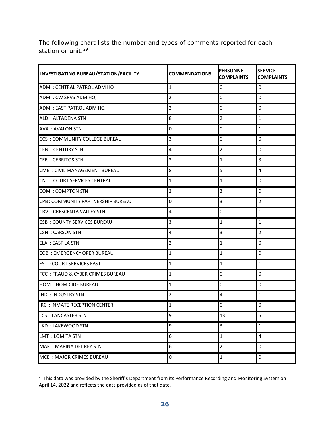The following chart lists the number and types of comments reported for each station or unit.<sup>[29](#page-27-0)</sup>

| <b>INVESTIGATING BUREAU/STATION/FACILITY</b> | <b>COMMENDATIONS</b> | <b>PERSONNEL</b><br><b>COMPLAINTS</b> | <b>SERVICE</b><br><b>COMPLAINTS</b> |
|----------------------------------------------|----------------------|---------------------------------------|-------------------------------------|
| ADM : CENTRAL PATROL ADM HQ                  | $\mathbf{1}$         | 0                                     | $\mathbf 0$                         |
| ADM: CW SRVS ADM HQ                          | 2                    | 0                                     | $\overline{0}$                      |
| ADM: EAST PATROL ADM HQ                      | 2                    | 0                                     | 0                                   |
| ALD: ALTADENA STN                            | 8                    | $\overline{2}$                        | $\mathbf{1}$                        |
| <b>AVA : AVALON STN</b>                      | 0                    | 0                                     | $\mathbf{1}$                        |
| <b>CCS : COMMUNITY COLLEGE BUREAU</b>        | 3                    | 0                                     | $\overline{0}$                      |
| <b>CEN: CENTURY STN</b>                      | 4                    | $\overline{2}$                        | $\overline{0}$                      |
| <b>CER : CERRITOS STN</b>                    | 3                    | $\mathbf{1}$                          | $\overline{3}$                      |
| CMB: CIVIL MANAGEMENT BUREAU                 | 8                    | 5                                     | 4                                   |
| <b>CNT : COURT SERVICES CENTRAL</b>          | $\mathbf{1}$         | $\mathbf{1}$                          | 0                                   |
| <b>COM : COMPTON STN</b>                     | 2                    | 3                                     | $\mathbf 0$                         |
| CPB: COMMUNITY PARTNERSHIP BUREAU            | 0                    | 3                                     | $\overline{2}$                      |
| <b>CRV : CRESCENTA VALLEY STN</b>            | 4                    | 0                                     | $\mathbf{1}$                        |
| <b>CSB : COUNTY SERVICES BUREAU</b>          | 3                    | 1                                     | $\mathbf{1}$                        |
| <b>CSN : CARSON STN</b>                      | 4                    | 3                                     | $\overline{2}$                      |
| <b>ELA : EAST LA STN</b>                     | 2                    | 1                                     | 0                                   |
| <b>EOB: EMERGENCY OPER BUREAU</b>            | 1                    | 1                                     | $\mathbf 0$                         |
| <b>EST : COURT SERVICES EAST</b>             | 1                    | 1                                     | $\mathbf{1}$                        |
| FCC: FRAUD & CYBER CRIMES BUREAU             | 1                    | 0                                     | 0                                   |
| <b>HOM : HOMICIDE BUREAU</b>                 | $\mathbf{1}$         | 0                                     | $\mathbf 0$                         |
| <b>IND : INDUSTRY STN</b>                    | 2                    | 4                                     | $\mathbf{1}$                        |
| <b>IRC : INMATE RECEPTION CENTER</b>         | 1                    | 0                                     | $\overline{0}$                      |
| <b>LCS : LANCASTER STN</b>                   | 9                    | 13                                    | 5                                   |
| LKD: LAKEWOOD STN                            | 9                    | 3                                     | $\mathbf 1$                         |
| <b>LMT : LOMITA STN</b>                      | 6                    | $\mathbf{1}$                          | 4                                   |
| MAR : MARINA DEL REY STN                     | 6                    | 2                                     | 0                                   |
| MCB: MAJOR CRIMES BUREAU                     | 0                    | $\mathbf{1}$                          | $\pmb{0}$                           |

<span id="page-27-0"></span><sup>&</sup>lt;sup>29</sup> This data was provided by the Sheriff's Department from its Performance Recording and Monitoring System on April 14, 2022 and reflects the data provided as of that date.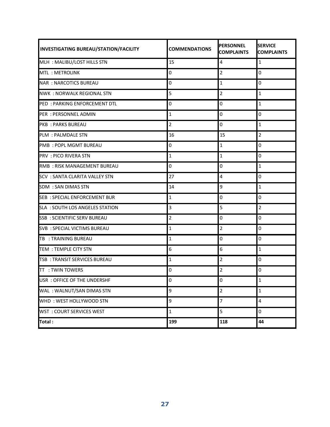| INVESTIGATING BUREAU/STATION/FACILITY  | <b>COMMENDATIONS</b> | <b>PERSONNEL</b><br><b>COMPLAINTS</b> | <b>SERVICE</b><br><b>COMPLAINTS</b> |
|----------------------------------------|----------------------|---------------------------------------|-------------------------------------|
| MLH: MALIBU/LOST HILLS STN             | 15                   | 4                                     | $\mathbf{1}$                        |
| MTL: METROLINK                         | $\mathbf 0$          | $\overline{2}$                        | 0                                   |
| <b>NAR: NARCOTICS BUREAU</b>           | $\mathbf 0$          | $\mathbf{1}$                          | 0                                   |
| <b>NWK: NORWALK REGIONAL STN</b>       | 5                    | $\overline{2}$                        | $\mathbf{1}$                        |
| PED: PARKING ENFORCEMENT DTL           | 0                    | 0                                     | $\mathbf{1}$                        |
| PER: PERSONNEL ADMIN                   | 1                    | 0                                     | 0                                   |
| <b>PKB: PARKS BUREAU</b>               | $\overline{2}$       | 0                                     | 1                                   |
| <b>PLM : PALMDALE STN</b>              | 16                   | 15                                    | $\overline{2}$                      |
| <b>PMB: POPL MGMT BUREAU</b>           | 0                    | $\mathbf{1}$                          | 0                                   |
| <b>PRV: PICO RIVERA STN</b>            | $1\,$                | $\mathbf{1}$                          | 0                                   |
| RMB: RISK MANAGEMENT BUREAU            | 0                    | 0                                     | $\mathbf{1}$                        |
| <b>SCV : SANTA CLARITA VALLEY STN</b>  | 27                   | 4                                     | 0                                   |
| <b>SDM : SAN DIMAS STN</b>             | 14                   | 9                                     | $\mathbf{1}$                        |
| <b>SEB: SPECIAL ENFORCEMENT BUR</b>    | 1                    | 0                                     | 0                                   |
| <b>SLA : SOUTH LOS ANGELES STATION</b> | $\overline{3}$       | 5                                     | $\overline{2}$                      |
| <b>SSB: SCIENTIFIC SERV BUREAU</b>     | 2                    | 0                                     | 0                                   |
| SVB: SPECIAL VICTIMS BUREAU            | $\mathbf{1}$         | 2                                     | 0                                   |
| TB : TRAINING BUREAU                   | $\mathbf{1}$         | 0                                     | 0                                   |
| <b>TEM: TEMPLE CITY STN</b>            | 6                    | 6                                     | $\mathbf{1}$                        |
| TSB: TRANSIT SERVICES BUREAU           | $\mathbf 1$          | $\overline{2}$                        | 0                                   |
| <b>TT : TWIN TOWERS</b>                | $\mathbf 0$          | $\overline{2}$                        | 0                                   |
| USR: OFFICE OF THE UNDERSHE            | $\Omega$             | $\Omega$                              | $\mathbf{1}$                        |
| WAL: WALNUT/SAN DIMAS STN              | 9                    | $\overline{2}$                        | $\mathbf{1}$                        |
| WHD: WEST HOLLYWOOD STN                | 9                    | $\overline{7}$                        | $\overline{\mathbf{4}}$             |
| <b>WST: COURT SERVICES WEST</b>        | 1                    | 5                                     | 0                                   |
| Total:                                 | 199                  | 118                                   | 44                                  |